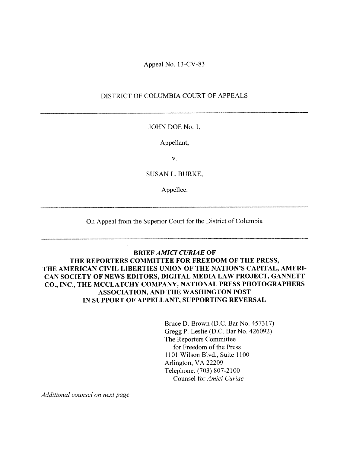Appeal No, 13-CV-83

### DISTRICT OF COLUMBIA COURT OF APPEALS

#### JOHN DOE No. 1.

#### Appellant,

V.

SUSAN L. BURKE.

Appellee.

On Appeal from the Superior Court for the District of Columbia

### BRIEF AMICI CURIAE OF THE REPORTERS COMMITTEE FOR FREEDOM OF THE PRESS, THE AMERICAN CIVIL LIBERTIES UNION OF THE NATION'S CAPITAL, AMERI CAN SOCIETY OF NEWS EDITORS, DIGITAL MEDIA LAW PROJECT, GANNETT CO., INC., THE MCCLATCHY COMPANY, NATIONAL PRESS PHOTOGRAPHERS ASSOCIATION, AND THE WASHINGTON POST IN SUPPORT OF APPELLANT. SUPPORTING REVERSAL

Bruce D. Brown (D.C. Bar No. 457317) Gregg P. Leslie (D.C. Bar No. 426092) The Reporters Committee for Freedom of the Press 1101 Wilson Blvd., Suite 1100 Arlington, VA 22209 Telephone: (703) X07-2100 Counsel for *Amici Curiae* 

Additional counsel on next page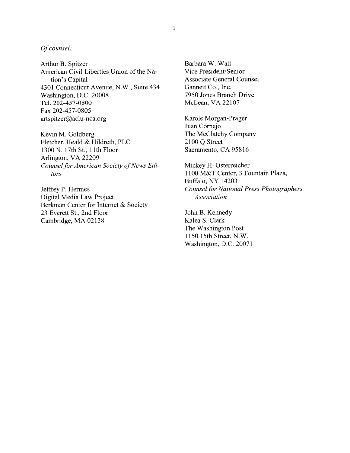#### Of counsel:

Arthur B. Spitzer American Civil Liberties Union of the Na tion's Capital 4301 Connecticut Avenue. N.W., Suite 434 Washington. D.C. 20008 Tel. 202-457-0800 Fax 202-457-0805 artspitzer@aclu-nca.org

Kevin M. Goldberg Fletcher, Heald & Hildreth, PLC 1300 N. 17th St., 11th Floor Arlington, VA 22209 Counsel for American Society of News Editors

Jeffrey P. Hermes Digital Media Law Project Berkman Center for Internet & Society 23 Everett St., 2nd Floor Cambridge, MA 02138

Barbara \V. Wall Vice President/Senior Associate General Counsel Gannett Co., Inc. 7950 Jones Branch Drive McLean. VA 22107

Karole Morgan-Prager Juan Cornejo The McClatchy Company 2100 Q Street Sacramento, CA 95816

Mickey H. Osterreicher 1100 M&T Center, <sup>3</sup> Fountain Plaza, Buffalo, NY 14203 Counsel for National Press Photographers Association

John B. Kennedy Kalea S. Clark The Washington Post 1150 15th Street. N.W. Washington, D.C. 20071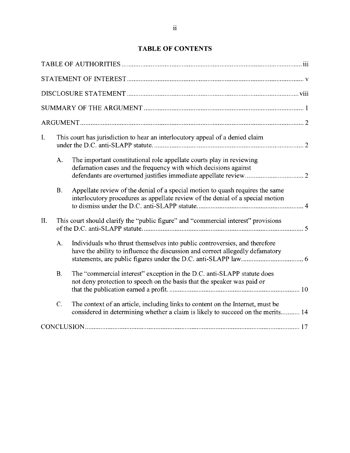# TABLE OF CONTENTS

| $\mathbf{I}$ . |                 | This court has jurisdiction to hear an interlocutory appeal of a denied claim                                                                                     |
|----------------|-----------------|-------------------------------------------------------------------------------------------------------------------------------------------------------------------|
|                | A.              | The important constitutional role appellate courts play in reviewing<br>defamation cases and the frequency with which decisions against                           |
|                | <b>B.</b>       | Appellate review of the denial of a special motion to quash requires the same<br>interlocutory procedures as appellate review of the denial of a special motion   |
| II.            |                 | This court should clarify the "public figure" and "commercial interest" provisions                                                                                |
|                | A.              | Individuals who thrust themselves into public controversies, and therefore<br>have the ability to influence the discussion and correct allegedly defamatory       |
|                | <b>B.</b>       | The "commercial interest" exception in the D.C. anti-SLAPP statute does<br>not deny protection to speech on the basis that the speaker was paid or                |
|                | $\mathcal{C}$ . | The context of an article, including links to content on the Internet, must be<br>considered in determining whether a claim is likely to succeed on the merits 14 |
|                |                 |                                                                                                                                                                   |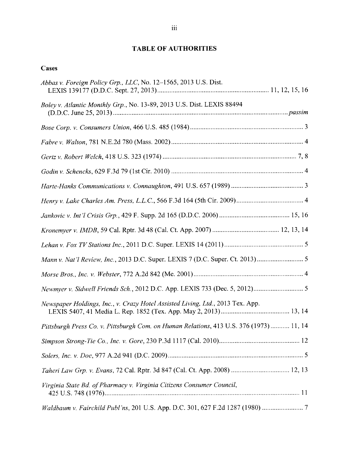# TABLE OF AUTHORITIES

# Cases

| Abbas v. Foreign Policy Grp., LLC, No. 12–1565, 2013 U.S. Dist.                         |
|-----------------------------------------------------------------------------------------|
| Boley v. Atlantic Monthly Grp., No. 13-89, 2013 U.S. Dist. LEXIS 88494                  |
|                                                                                         |
|                                                                                         |
|                                                                                         |
|                                                                                         |
|                                                                                         |
|                                                                                         |
|                                                                                         |
|                                                                                         |
|                                                                                         |
| Mann v. Nat'l Review, Inc., 2013 D.C. Super. LEXIS 7 (D.C. Super. Ct. 2013) 5           |
|                                                                                         |
|                                                                                         |
| Newspaper Holdings, Inc., v. Crazy Hotel Assisted Living, Ltd., 2013 Tex. App.          |
| Pittsburgh Press Co. v. Pittsburgh Com. on Human Relations, 413 U.S. 376 (1973)  11, 14 |
|                                                                                         |
|                                                                                         |
|                                                                                         |
| Virginia State Bd. of Pharmacy v. Virginia Citizens Consumer Council,                   |
| Waldbaum v. Fairchild Publ'ns, 201 U.S. App. D.C. 301, 627 F.2d 1287 (1980) 7           |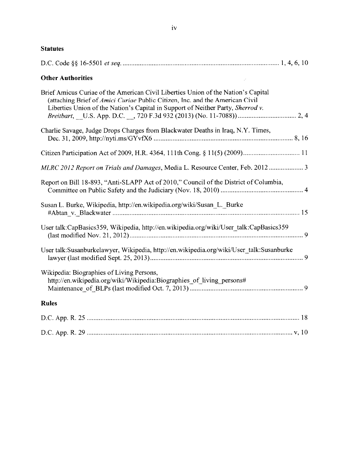| - 1 |   |
|-----|---|
|     |   |
|     | I |
|     |   |
|     | w |
|     |   |

| <b>Statutes</b> |
|-----------------|
|-----------------|

| <b>Other Authorities</b>                                                                                                                                                                                                                             |
|------------------------------------------------------------------------------------------------------------------------------------------------------------------------------------------------------------------------------------------------------|
| Brief Amicus Curiae of the American Civil Liberties Union of the Nation's Capital<br>(attaching Brief of Amici Curiae Public Citizen, Inc. and the American Civil<br>Liberties Union of the Nation's Capital in Support of Neither Party, Sherrod v. |
| Charlie Savage, Judge Drops Charges from Blackwater Deaths in Iraq, N.Y. Times,                                                                                                                                                                      |
|                                                                                                                                                                                                                                                      |
| MLRC 2012 Report on Trials and Damages, Media L. Resource Center, Feb. 2012  3                                                                                                                                                                       |
| Report on Bill 18-893, "Anti-SLAPP Act of 2010," Council of the District of Columbia,                                                                                                                                                                |
| Susan L. Burke, Wikipedia, http://en.wikipedia.org/wiki/Susan_L._Burke                                                                                                                                                                               |
| User talk:CapBasics359, Wikipedia, http://en.wikipedia.org/wiki/User_talk:CapBasics359                                                                                                                                                               |
| User talk:Susanburkelawyer, Wikipedia, http://en.wikipedia.org/wiki/User_talk:Susanburke                                                                                                                                                             |
| Wikipedia: Biographies of Living Persons,<br>http://en.wikipedia.org/wiki/Wikipedia:Biographies_of_living_persons#                                                                                                                                   |
| <b>Rules</b>                                                                                                                                                                                                                                         |
|                                                                                                                                                                                                                                                      |
|                                                                                                                                                                                                                                                      |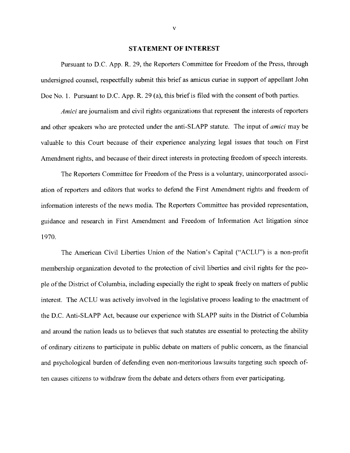#### STATEMENT OF INTEREST

Pursuant to D.C. App. R. 29. the Reporters Committee for Freedom of the Press, through undersigned counsel, respectfully submit this brief as amicus curiae in support of appellant John Doe No. 1. Pursuant to D.C. App. R. 29 (a), this brief is filed with the consent of both parties.

Amici are journalism and civil rights organizations that represent the interests of reporters and other speakers who are protected under the anti-SLAPP statute. The input of amici may be valuable to this Court because of their experience analyzing legal issues that touch on First Amendment rights, and because of their direct interests in protecting freedom of speech interests.

The Reporters Committee for Freedom of the Press is a voluntary, unincorporated associ ation of reporters and editors that works to defend the First Amendment rights and freedom of information interests of the news media. The Reporters Committee has provided representation. guidance and research in First Amendment and Freedom of Information Act litigation since 1970.

The American Civil Liberties Union of the Nation's Capital ("ACLU") is a non-profit membership organization devoted to the protection of civil liberties and civil rights for the peo ple of the District of Columbia, including especially the right to speak freely on matters of public interest. The ACLU was actively involved in the legislative process leading to the enactment of the D.C. Anti-SLAPP Act, because our experience with SLAPP suits in the District of Columbia and around the nation leads us to believes that such statutes are essential to protecting the ability of ordinary citizens to participate in public debate on matters of public concern, as the financial and psychological burden of defending even non-meritorious lawsuits targeting such speech often causes citizens to withdraw from the debate and deters others from ever participating.

 $\overline{\mathbf{V}}$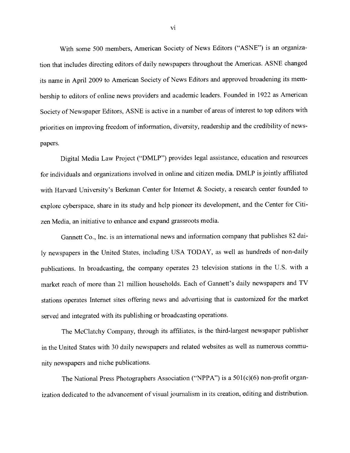With some <sup>500</sup> members. American Society of News Editors ("ASNE") is an organiza tion that includes directing editors of daily newspapers throughout the Americas. ASNE changed its name in April <sup>2009</sup> to American Society of News Editors and approve<sup>d</sup> broadening its mem bership to editors of online news providers and academic leaders. Founded in <sup>1922</sup> as American Society of Newspaper Editors. ASNE is active in <sup>a</sup> number of areas of interest to top editors with priorities on improving freedom of information, diversity, readership and the credibility of news papers.

Digital Media Law Project ("DMLP") provides legal assistance, education and resources for individuals and organizations involved in online and citizen media. DMLP is jointly affiliated with Harvard University's Berkman Center for Internet & Society, <sup>a</sup> research center founded to explore cyberspace, share in its study and help <sup>p</sup>ioneer its development, and the Center for Citi zen Media, an initiative to enhance and expand grassroots media.

Gannett Co., Inc. is an international news and information company that publishes <sup>82</sup> dai ly newspapers in the United States, including USA TODAY, as well as hundreds of non-daily publications. In broadcasting, the company operates <sup>23</sup> television stations in the U.S. with <sup>a</sup> market reach of more than 21 million households. Each of Gannett's daily newspapers and TV stations operates Internet sites offering news and advertising that is customized for the market served and integrated with its publishing or broadcasting operations.

The McClatchy Company, through its affiliates, is the third-largest newspaper publisher in the United States with 30 daily newspapers and related websites as well as numerous community newspapers and niche publications.

The National Press Photographers Association ("NPPA") is <sup>a</sup> 501(c)(6) non-profit organ ization dedicated to the advancement of visual journalism in its creation, editing and distribution.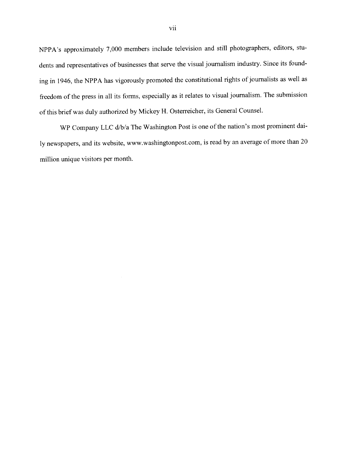NPPA's approximately 7.000 members include television and still <sup>p</sup>hotographers. editors, stu dents and representatives of businesses that serve the visual journalism industry. Since its found ing in 1946. the NPPA has vigorously promoted the constitutional rights of journalists as vell as freedom of the press in all its forms, especially as it relates to visual journalism. The submission of this brief was duly authorized by Mickey H. Osterreicher. its General Counsel.

WP Company LLC d/b/a The Washington Post is one of the nation's most prominent daily newspapers, and its website, www.washingtonpost.com. is read by an average of more than <sup>20</sup> million unique visitors per month.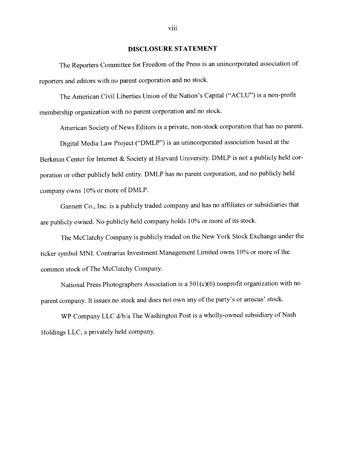#### DISCLOSURE STATEMENT

The Reporters Committee for Freedom of the Press is an unincorporated association of reporters and editors with no paren<sup>t</sup> corporation and no stock.

The American Civil Liberties Union of the Nation's Capital ("ACLU") is <sup>a</sup> non-profit membership organization with no paren<sup>t</sup> corporation and no stock.

American Society of News Editors is a private, non-stock corporation that has no parent.

Digital Media Law Project ("DMLP") is an unincorporated association based at the Berkman Center for Internet & Society at Harvard University. DMLP is not <sup>a</sup> publicly held cor poration or other publicly held entity. DMLP has no paren<sup>t</sup> corporation, and no publicly held company owns 10% or more of DMLP.

Gannett Co., Inc. is <sup>a</sup> publicly traded company and has no affiliates or subsidiaries that are publicly owned. No publicly held company holds 10% or more of its stock.

The McClatchy Company is publicly traded on the New York Stock Exchange under the ticker symbol MNI. Contrarius Investment Management Limited owns 10% or more of the common stock of The McClatchy Company.

National Press Photographers Association is <sup>a</sup> 501(c)(6) nonprofit organization with no paren<sup>t</sup> company. It issues no stock and does not own any of the party's or amicus' stock.

WP Company LLC d/b/a The Washington Post is <sup>a</sup> wholly-owned subsidiary of Nash Holdings LLC, <sup>a</sup> privately held company.

viii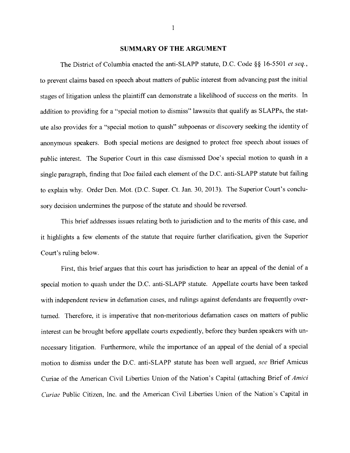#### SUMMARY OF THE ARGUMENT

The District of Columbia enacted the anti-SLAPP statute, D.C. Code §§ 16-5501 et seq., to prevent claims based on speech about matters of public interest from advancing past the initial stages of litigation unless the plaintiff can demonstrate <sup>a</sup> likelihood of success on the merits. In addition to providing for a "special motion to dismiss" lawsuits that qualify as SLAPPs, the statute also provides for <sup>a</sup> "special motion to quash" subpoenas or discovery seeking the identity of anonymous speakers. Both special motions are designed to protect free speech about issues of public interest. The Superior Court in this case dismissed Doe's special motion to quash in a single paragraph, finding that Doe failed each element of the D.C. anti-SLAPP statute but failing to explain why. Order Den. Mot. (D.C. Super. Ct. Jan. 30, 2013). The Superior Court's conclu sory decision undermines the purpose of the statute and should be reversed.

This brief addresses issues relating both to jurisdiction and to the merits of this case, and it highlights a few elements of the statute that require further clarification, given the Superior Court's ruling below.

First, this brief argues that this court has jurisdiction to hear an appeal of the denial of <sup>a</sup> special motion to quash under the D.C. anti-SLAPP statute. Appellate courts have been tasked with independent review in defamation cases, and rulings against defendants are frequently overturned. Therefore, it is imperative that non-meritorious defamation cases on matters of public interest can be brought before appellate courts expediently, before they burden speakers with unnecessary litigation. Furthermore, while the importance of an appeal of the denial of a special motion to dismiss under the D.C. anti-SLAPP statute has been well argued, see Brief Amicus Curiae of the American Civil Liberties Union of the Nation's Capital (attaching Brief of Amici Curiae Public Citizen, Inc. and the American Civil Liberties Union of the Nation's Capital in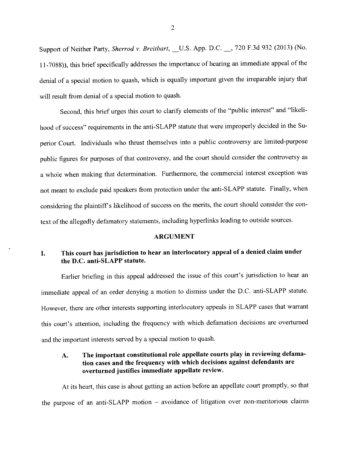Support of Neither Party, Sherrod v. Breitbart, U.S. App. D.C. 3720 F.3d 932 (2013) (No. <sup>1</sup> 1-7088)). this brief specifically addresses the importance of hearing an immediate appea<sup>l</sup> of the denial of <sup>a</sup> special motion to quash, which is equally important <sup>g</sup>iven the irreparable injury that will result from denial of <sup>a</sup> special motion to quash.

Second. this brief urges this court to clarify elements of the "public interest" and "likeli hood of success" requirements in the anti-SLAPP statute that were improperly decided in the Su perior Court. Individuals who thrust themselves into <sup>a</sup> public controversy are limited-purpose public figures for purposes of that controversy, and the court should consider the controversy as <sup>a</sup> whole when making that determination. Furthermore, the commercial interest exception was not meant to exclude paid speakers from protection under the anti-SLAPP statute. Finally, when considering the <sup>p</sup>laintiff's likelihood of success on the merits, the court should consider the con text of the allegedly defamatory statements, including hyperlinks leading to outside sources.

#### ARGUMENT

# I. This court has jurisdiction to hear an interlocutory appea<sup>l</sup> of <sup>a</sup> denied claim under the D.C. anti-SLAPP statute.

Earlier briefing in this appea<sup>l</sup> addressed the issue of this court's jurisdiction to hear an immediate appea<sup>l</sup> of an order denying <sup>a</sup> motion to dismiss under the D.C. anti-SLAPP statute. However, there are other interests supporting interlocutory appeals in SLAPP cases that warrant this court's attention, including the frequency with which defamation decisions are overturned and the important interests served by <sup>a</sup> special motion to quash.

### A. The important constitutional role appellate courts <sup>p</sup>lay in reviewing defama tion cases and the frequency with which decisions against defendants are overturned justifies immediate appellate review.

At its heart, this case is about getting an action before an appellate court promptly. so that the purpose of an anti-SLAPP motion – avoidance of litigation over non-meritorious claims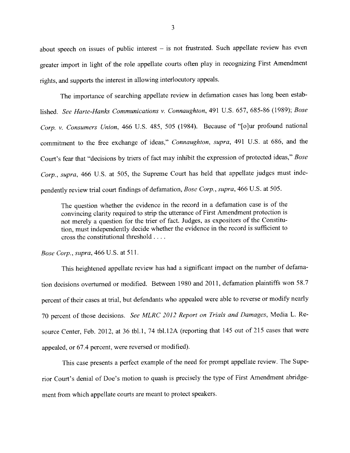about speec<sup>h</sup> on issues of public interest — is not frustrated. Such appellate review has even greater import in light of the role appellate courts often <sup>p</sup>lay in recognizing First Amendment rights, and supports the interest in allowing interlocutory appeals.

The importance of searching appellate review in defamation cases has long been estab lished. See Harte-Hanks Communications v. Connaughton, 491 U.S. 657, 685-86 (1989); Bose Corp. v. Consumers Union, 466 U.S. 485, 505 (1984). Because of "[o]ur profound national commitment to the free exchange of ideas," Connaughton. supra. <sup>491</sup> U.S. at 686, and the Court's fear that "decisions by triers of fact may inhibit the expression of protected ideas," Bose Corp., supra, 466 U.S. at 505, the Supreme Court has held that appellate judges must independently review trial court findings of defamation, Bose Corp., supra, <sup>466</sup> U.S. at 505.

The question whether the evidence in the record in <sup>a</sup> defamation case is of the convincing clarity required to strip the utterance of First Amendment protection is not merely <sup>a</sup> question for the trier of fact. Judges, as expositors of the Constitu tion, must independently decide whether the evidence in the record is sufficient to cross the constitutional threshold .

#### Bose corp., supra, <sup>466</sup> U.S. at 511.

This heightened appellate review has had <sup>a</sup> significant impact on the number of defama tion decisions overturned or modified. Between 1980 and 2011, defamation <sup>p</sup>laintiffs won 58.7 percen<sup>t</sup> of their cases at trial, but defendants who appealed were able to reverse or modify nearly 70 percent of those decisions. See MLRC 2012 Report on Trials and Damages, Media L. Resource Center, Feb. 2012, at <sup>36</sup> tbl.l, <sup>74</sup> tbl.l2A (reporting that <sup>145</sup> out of <sup>215</sup> cases that were appealed. or 67.4 percent. were reversed or modified).

This case presents a perfect example of the need for prompt appellate review. The Superior Court's denial of Doe's motion to quash is precisely the type of First Amendment abridgement from which appellate courts are meant to protect speakers.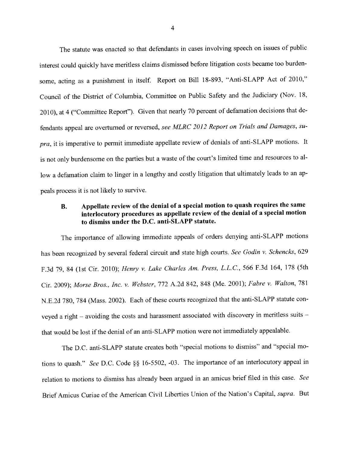The statute was enacted so that defendants in cases involving speec<sup>h</sup> on issues of public interest could quickly have meritless claims dismissed before litigation costs became too burden some, acting as a punishment in itself. Report on Bill 18-893, "Anti-SLAPP Act of 2010," Council of the District of Columbia, Committee on Public Safety and the Judiciary (Nov. 18, 2010). at <sup>4</sup> ("Committee Report"). Given that nearly <sup>70</sup> percen<sup>t</sup> of defamation decisions that de fendants appeal are overturned or reversed, see MLRC 2012 Report on Trials and Damages, supra, it is imperative to permit immediate appellate review of denials of anti-SLAPP motions. It is not only burdensome on the parties but <sup>a</sup> waste of the court's limited time and resources to al low a defamation claim to linger in a lengthy and costly litigation that ultimately leads to an appeals process it is not likely to survive.

### B. Appellate review of the denial of <sup>a</sup> special motion to quas<sup>h</sup> requires the same interlocutory procedures as appellate review of the denial of <sup>a</sup> special motion to dismiss under the D.C. anti-SLAPP statute.

The importance of allowing immediate appeals of orders denying anti-SLAPP motions has been recognized by several federal circuit and state high courts. See Godin v. Schencks, 629 F.3d 79, <sup>84</sup> (1st Cir. 2010); Henry v. Lake charles Am. Press, L.L.C., <sup>566</sup> F.3d 164, <sup>178</sup> (5th Cir. 2009); Morse Bros., Inc. v. Webster, <sup>772</sup> A,2d 842, <sup>848</sup> (Me. 2001); Fabre v. Walton, <sup>781</sup> N.E.2d 780, <sup>784</sup> (Mass. 2002). Each of these courts recognized that the anti-SLAPP statute con veyed a right – avoiding the costs and harassment associated with discovery in meritless suits – that would he lost if the denial of an anti-SLAPP motion were not immediately appealable.

The D.C. anti-SLAPP statute creates both "special motions to dismiss" and "special mo tions to quash." See D.C. Code §§ 16-5502, -03. The importance of an interlocutory appeal in relation to motions to dismiss has already been argue<sup>d</sup> in an amicus brief filed in this case. See Brief Amicus Curiae of the American Civil Liberties Union of the Nation's Capital, supra. But

4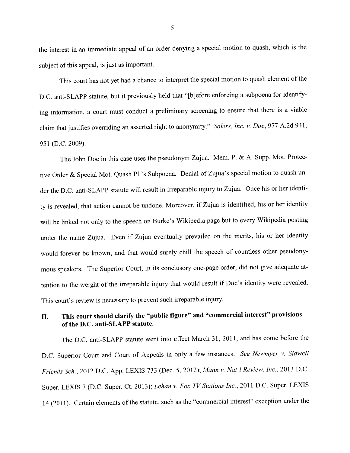the interest in an immediate appea<sup>l</sup> of an order denying <sup>a</sup> special motion to quash. which is the subject of this appeal, is just as important,

This court has not ye<sup>t</sup> had <sup>a</sup> chance to interpret the special motion to quas<sup>h</sup> element of the D.C. anti-SLAPP statute, but it previously held that "[b]efore enforcing a subpoena for identifying information, <sup>a</sup> court must conduct <sup>a</sup> preliminary screening to ensure that there is <sup>a</sup> viable claim that justifies overriding an asserted right to anonymity." Solers, Inc. v. Doe, 977 A.2d 941, 951 (D.C. 2009).

The John Doe in this case uses the pseudonym Zujua. Mem. P. & A. Supp. Mot. Protec tive Order & Special Mot. Quash Pl.'s Subpoena. Denial of Zujua's special motion to quas<sup>h</sup> un der the D.C. anti-SLAPP statute will result in irreparable injury to Zujua. Once his or her identi ty is revealed, that action cannot he undone. Moreover, if Zujua is identified, his or her identity will be linked not only to the speec<sup>h</sup> on Burke's Wikipedia page but to every Wikipedia posting under the name Zujua. Even if Zujua eventually prevailed on the merits, his or her identity would forever be known, and that would surely chill the speec<sup>h</sup> of countless other pseudony mous speakers. The Superior Court, in its conclusory one-page order, did not <sup>g</sup>ive adequate at tention to the weight of the irreparable injury that would result if Doe's identity were revealed. This court's review is necessary to preven<sup>t</sup> such irreparable injury.

# II. This court should clarify the "public figure" and "commercial interest" provisions of the D.C. anti-SLAPP statute.

The D.C. anti-SLAPP statute went into effect March 31, 2011, and has come before the D.C. Superior Court and Court of Appeals in only a few instances. See Newmyer v. Sidwell Friends Sch., <sup>2012</sup> D.C. App. LEXIS <sup>733</sup> (Dec. 5,2012); Mann v. Nat'l Review, Inc., <sup>2013</sup> D.C. Super. LEXIS 7 (D.C. Super. Ct. 2013); Lehan v. Fox TV Stations Inc., 2011 D.C. Super. LEXIS 14 (2011). Certain elements of the statute, such as the "commercial interest" exception under the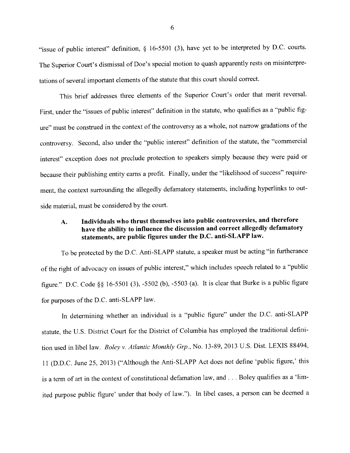"issue of public interest" definition,  $\S$  16-5501 (3), have yet to be interpreted by D.C. courts. The Superior Court's dismissal of Doe's special motion to quas<sup>h</sup> apparently rests on misinterpre tations of several important elements of the statute that this court should correct.

This brief addresses three elements of the Superior Court's order that merit reversal. First, under the "issues of public interest" definition in the statute, who qualifies as <sup>a</sup> "public fig ure" must be construed in the context of the controversy as <sup>a</sup> whole, not narrow gradations of the controversy. Second, also under the "public interest" definition of the statute, the "commercial interest" exception does not preclude protection to speakers simply because they were paid or because their publishing entity earns <sup>a</sup> profit. Finally, under the "likelihood of success" require ment, the context surrounding the allegedly defamatory statements, including hyperlinks to out side material, must be considered by the court.

## A. Individuals who thrust themselves into public controversies, and therefore have the ability to influence the discussion and correct allegedly defamatory statements, are public figures under the D.C. anti-SLAPP law.

To be protected by the D.C. Anti-SLAPP statute, <sup>a</sup> speaker must be acting "in furtherance of the right of advocacy on issues of public interest," which includes speec<sup>h</sup> related to <sup>a</sup> "public figure." D.C. Code §§ 16-5501 (3), -5502 (b), -5503 (a). It is clear that Burke is a public figure for purposes of the D.C. anti-SLAPP law.

En determining whether an individual is <sup>a</sup> "public figure" under the D.C. anti-SLAPP statute, the U.S. District Court for the District of Columbia has employed the traditional definition used in libel law. Boley v. Atlantic Monthly Grp., No. 13-89, 2013 U.S. Dist. LEXIS 88494, <sup>11</sup> (D.D.C. June 25, 2013) ("Although the Anti-SLAPP Act does not define 'public figure,' this is a term of art in the context of constitutional defamation law, and . . . Boley qualifies as a 'limited purpose public figure' under that body of law,"). In libel cases, <sup>a</sup> person can he deemed <sup>a</sup>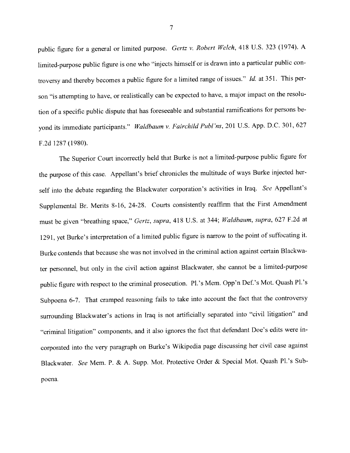public figure for a general or limited purpose. Gertz v. Robert Welch, 418 U.S. 323 (1974). A limited-purpose public figure is one who "injects himself or is drawn into <sup>a</sup> particular public con troversy and thereby becomes a public figure for a limited range of issues." Id. at 351. This person "is attempting to have, or realistically can be expected to have, <sup>a</sup> major impact on the resolu tion of <sup>a</sup> specific public dispute that has foreseeable and substantial ramifications for persons be yond its immediate participants." Waldbaum v. Fairchild Publ'ns, 201 U.S. App. D.C. 301, 627 F.2d 1287 (1980).

The Superior Court incorrectly held that Burke is not <sup>a</sup> limited-purpose public figure for the purpose of this case. Appellant's brief chronicles the multitude of ways Burke injected her self into the debate regarding the Blackwater corporation's activities in Iraq. See Appellant's Supplemental Br. Merits 8-16, 24-28. Courts consistently reaffirm that the First Amendment must be <sup>g</sup>iven "breathing space," Gertz, supra, <sup>418</sup> U.S. at 344; Waldbaum, supra, <sup>627</sup> F.2d at 1291, ye<sup>t</sup> Burke's interpretation of <sup>a</sup> limited public figure is narrow to the point of suffocating it. Burke contends that because she was not involved in the criminal action against certain Blackwa ter personnel, but only in the civil action against Blackwater, she cannot be <sup>a</sup> limited-purpose public figure with respec<sup>t</sup> to the criminal prosecution. Pl.'s Mem. Opp'n Def.'s Mot. Quash Pl.'s Subpoena 6-7. That crampe<sup>d</sup> reasoning fails to take into account the fact that the controversy surrounding Blackwater's actions in Iraq is not artificially separated into "civil litigation" and "criminal litigation" components. and it also ignores the fact that defendant Doe's edits were in corporated into the very paragrap<sup>h</sup> on Burke's \Vikipedia page discussing her civil case against Blackwater. See Mem. P. & A. Supp. Mot. Protective Order & Special Mot. Quash Pl.'s Subpoena.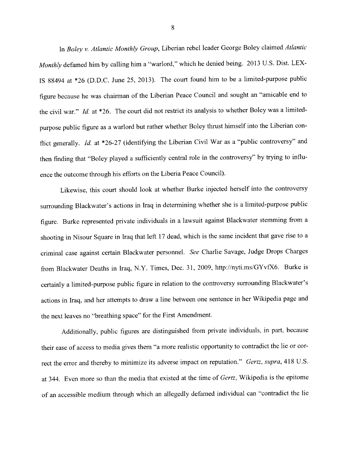In Boley v. Atlantic Monthly Group, Liberian rebel leader George Boley claimed Atlantic Monthly defamed him by calling him a "warlord," which he denied being. 2013 U.S. Dist. LEX-IS 88494 at  $*26$  (D.D.C. June 25, 2013). The court found him to be a limited-purpose public figure because he was chairman of the Liberian Peace Council and sought an "amicable end to the civil war." Id. at \*26. The court did not restrict its analysis to whether Boley was a limitedpurpose public figure as <sup>a</sup> warlord but rather whether Boley thrust himself into the Liberian con flict generally. Id. at  $*26-27$  (identifying the Liberian Civil War as a "public controversy" and then finding that "Boley <sup>p</sup>layed <sup>a</sup> sufficiently central role in the controversy" by trying to influ ence the outcome through his efforts on the Liberia Peace Council).

Likewise, this court should look at whether Burke injected herself into the controversy surrounding Blackwater's actions in iraq in determining whether she is <sup>a</sup> limited-purpose public figure. Burke represented private individuals in a lawsuit against Blackwater stemming from a shooting in Nisour Square in Iraq that left <sup>17</sup> dead, which is the same incident that gave rise to <sup>a</sup> criminal case against certain Blackwater personnel. See Charlie Savage. Judge Drops Charges from Blackwater Deaths in Iraq, N.Y. Times, Dec. 31, 2009, http://nyti.ms/GYvfX6. Burke is certainly <sup>a</sup> limited-purpose public figure in relation to the controversy surrounding Blackwater's actions in Iraq, and her attempts to draw <sup>a</sup> line between one sentence in her Wikipedia page and the next leaves no "breathing space" for the First Amendment.

Additionally, public figures are distinguished from private individuals, in part. because their ease of access to media <sup>g</sup>ives them "a more realistic opportunity to contradict the lie or cor rect the error and thereby to minimize its adverse impact on reputation." Gertz, supra, 418 U.S. at 344. Even more so than the media that existed at the time of Gertz, Wikipedia is the epitome of an accessible medium through which an allegedly defamed individual can "contradict the lie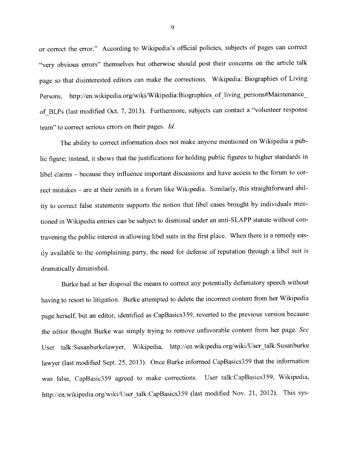or correct the error." According to Wikipedia's official policies, subjects of pages can correct "very obvious errors" themselves but otherwise should pos<sup>t</sup> their concerns on the article talk page so that disinterested editors can make the corrections. Wikipedia: Biographies of Living Persons, http://en.wikipedia.org/wiki/Wikipedia:Biographies\_of\_living\_persons#Maintenance\_ of BLPs (last modified Oct. 7. 2013). Furthermore, subjects can contact <sup>a</sup> "volunteer response team" to correct serious errors on their pages. Id.

The ability to correct information does not make anyone mentioned on Wikipedia <sup>a</sup> publie figure; instead, it shows that the justifications for holding public figures to higher standards in libel claims — because they influence important discussions and have access to the forum to cor rect mistakes — are at their zenith in <sup>a</sup> forum like Wikipedia. Similarly, this straightforward abil ity to correct false statements supports the notion that libel cases brought by individuals men tioned in Wikipedia entries can be subject to dismissal under an anti-S LAPP statute without con travening the public interest in allowing libel suits in the first <sup>p</sup>lace. When there is <sup>a</sup> remedy eas ily available to the complaining party. the need for defense of reputation through <sup>a</sup> libel suit is dramatically diminished.

Burke had at her disposal the means to correct any potentially defamatory speec<sup>h</sup> without having to resort to litigation. Burke attempted to delete the incorrect content from her Wikipedia page herself, but an editor, identified as CapBasies359, reverted to the previous version because the editor thought Burke was simply trying to remove unfavorable content from her page. See User talk: Susanburkelawyer, Wikipedia, http://en.wikipedia.org/wiki/User talk:Susanburke lawyer (last modified Sept. 25, 2013). Once Burke informed CapBasics359 that the information was false, CapBasic359 agree<sup>d</sup> to make corrections. User talk:CapBasics359, Wikipedia, http://en.wikipedia.org/wiki/User\_talk:CapBasics359 (last modified Nov. 21, 2012). This sys-

9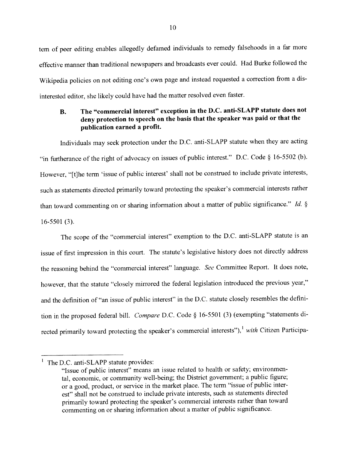tern of peer editing enables allegedly defamed individuals to remedy falsehoods in <sup>a</sup> far more effective manner than traditional newspapers and broadcasts ever could, Had Burke followed the Wikipedia policies on not editing one's own page and instead requested <sup>a</sup> correction from <sup>a</sup> dis interested editor, she likely could have had the matter resolved even faster.

## B. The "commercial interest" exception in the D.C. anti-SLAPP statute does not deny protection to speec<sup>h</sup> on the basis that the speaker was paid or that the publication earned <sup>a</sup> profit.

Individuals may seek protection under the D.C. anti-SLAPP statute when they are acting "in furtherance of the right of advocacy on issues of public interest." D.C. Code  $\S$  16-5502 (b). However, "[t}he term 'issue of public interest' shall not be construed to include private interests, such as statements directed primarily toward protecting the speaker's commercial interests rather than toward commenting on or sharing information about a matter of public significance." Id. § 16-5501 (3).

The scope of the "commercial interest" exemption to the D.C. anti-SLAPP statute is an issue of first impression in this court. The statute's legislative history does not directly address the reasoning behind the "commercial interest" language. See Committee Report. It does note, however, that the statute "closely mirrored the federal legislation introduced the previous year," and the definition of "an issue of public interest" in the D.C. statute closely resembles the definition in the proposed federal bill. Compare D.C. Code § 16-5501 (3) (exempting "statements directed primarily toward protecting the speaker's commercial interests"), $^1$  with Citizen Participa-

 $<sup>1</sup>$  The D.C. anti-SLAPP statute provides:</sup>

<sup>&</sup>quot;Issue of public interest" means an issue related to health or safety: environmen tal, economic, or community well-being; the District government; <sup>a</sup> public figure: or <sup>a</sup> good, product, or service in the market <sup>p</sup>lace. The term "issue of public inter est" shall not he construed to include private interests, such as statements directed primarily toward protecting the speaker's commercial interests rather than toward commenting on or sharing information about <sup>a</sup> matter of public significance,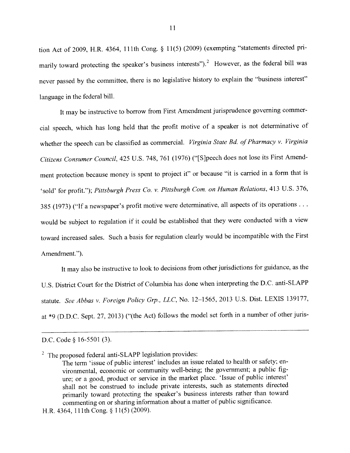tion Act of 2009, H.R. 4364, 111th Cong.  $\S$  11(5) (2009) (exempting "statements directed primarily toward protecting the speaker's business interests").<sup>2</sup> However, as the federal bill was never passed by the committee, there is no legislative history to explain the "business interest" language in the federal bill.

It may be instructive to borrow from First Amendment jurisprudence governing commer cial speech, which has long held that the profit motive of <sup>a</sup> speaker is not determinative of whether the speech can be classified as commercial. Virginia State Bd. of Pharmacy v. Virginia Citizens Consumer Council, 425 U.S. 748, 761 (1976) ("[S]peech does not lose its First Amendment protection because money is spen<sup>t</sup> to project it" or because "it is carried in <sup>a</sup> form that is 'sold' for profit."); Pittsburgh Press Co. v. Pittsburgh Com. on Human Relations, 413 U.S. 376, 385 (1973) ("If a newspaper's profit motive were determinative, all aspects of its operations . . . would be subject to regulation if it could be established that they were conducted with <sup>a</sup> view toward increased sales. Such <sup>a</sup> basis for regulation clearly would be incompatible with the First Amendment.").

It may also be instructive to look to decisions from other jurisdictions for guidance, as the U.S. District Court for the District of Columbia has done when interpreting the D.C. anti-SLAPP statute. See Abbas v. Foreign Policy Grp., LLC, No. 12-1565, 2013 U.S. Dist. LEXIS 139177, at \*9 (D.D.C. Sept. 27. 2013) ("(the Act) follows the model set forth in <sup>a</sup> number of other juris

D.C. Code § 16-5501 (3).

<sup>2</sup> The proposed federal anti-SLAPP legislation provides:

The term 'issue of public interest' includes an issue related to health or safety; en vironmental, economic or community well-being; the government; <sup>a</sup> public fig ure; or <sup>a</sup> good, product or service in the market <sup>p</sup>lace. 'Issue of public interest' shall not be construed to include private interests, such as statements directed primarily toward protecting the speaker's business interests rather than toward commenting on or sharing information about <sup>a</sup> matter of public significance.

H.R. 4364, 111th Cong. § 11(5) (2009).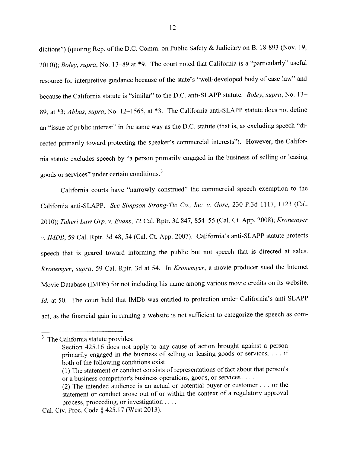dictions") (quoting Rep. of the D.C. Comm. on Public Safety & Judiciary on B. 18-893 (Nov. 19, 2010)); Boley, supra, No. 13-89 at \*9. The court noted that California is a "particularly" useful resource for interpretive guidance because of the state's "well-developed body of case law" and because the California statute is "similar" to the D.C. anti-SLAPP statute. Boley, supra, No. 13– 89, at \*3; Abbas, supra, No. 12-1565, at \*3. The California anti-SLAPP statute does not define an "issue of public interest" in the same way as the D.C. statute (that is, as excluding speech "directed primarily toward protecting the speaker's commercial interests"), However, the Califor nia statute excludes speec<sup>h</sup> by "a person primarily engage<sup>d</sup> in the business of selling or leasing goods or services" under certain conditions. <sup>3</sup>

California courts have "narrowly construed" the commercial speec<sup>h</sup> exemption to the California anti-SLAPP. See Simpson Strong-Tie Co., Inc. v. Gore, <sup>230</sup> P.3d 1117, <sup>1123</sup> (Cal. 2010); Taheri Law Grp. v. Evans, 72 Cal. Rptr. 3d 847, 854-55 (Cal. Ct. App. 2008); Kronemyer v. IMDB, <sup>59</sup> Cal. Rptr. 3d 48, <sup>54</sup> (Cal. Ct. App. 2007). California's anti-SLAPP statute protects speec<sup>h</sup> that is geare<sup>d</sup> toward informing the public but not speec<sup>h</sup> that is directed at sales. Kronemyer, supra, <sup>59</sup> Cal. Rptr. 3d at 54. In Kronemver, <sup>a</sup> movie producer sued the Internet Movie Database (IMDb) for not including his name among various movie credits on its website. Id. at 50. The court held that IMDb was entitled to protection under California's anti-SLAPP act, as the financial gain in running <sup>a</sup> website is not sufficient to categorize the speec<sup>h</sup> as com

 $3$  The California statute provides:

Section 425.16 does not apply to any cause of action brought against <sup>a</sup> person primarily engaged in the business of selling or leasing goods or services, . . . if both of the following conditions exist:

<sup>(1)</sup> The statement or conduct consists of representations of fact about that person's or a business competitor's business operations, goods, or services . . . .

<sup>(2)</sup> The intended audience is an actual or potential buyer or customer . . . or the statement or conduct arose out of or within the context of <sup>a</sup> regulatory approval process, proceeding, or investigation  $\dots$ 

Cal. Civ. Proc. Code § 425.17 (West 2013).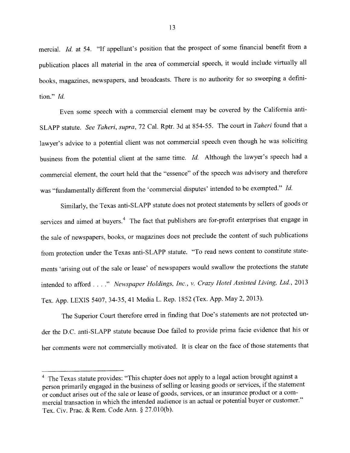mercial. Id. at 54. "If appellant's position that the prospec<sup>t</sup> of some financial benefit from <sup>a</sup> publication <sup>p</sup>laces all material in the area of commercial speech, it would include virtually all books. magazines, newspapers, and broadcasts. There is no authority for so sweeping <sup>a</sup> defini tion." Id,

Even some speec<sup>h</sup> with <sup>a</sup> commercial element may be covered by the California anti SLAPP statute. See Taheri, supra, 72 Cal. Rptr. 3d at 854-55. The court in Taheri found that a lawyer's advice to <sup>a</sup> potential client was not commercial speec<sup>h</sup> even though he was soliciting business from the potential client at the same time. Id. Although the lawyer's speec<sup>h</sup> had <sup>a</sup> commercial element, the court held that the "essence" of the speec<sup>h</sup> was advisory and therefore was "fundamentally different from the 'commercial disputes' intended to be exempted." Id.

Similarly, the Texas anti-SLAPP statute does not protect statements by sellers of goods or services and aimed at buyers.<sup>4</sup> The fact that publishers are for-profit enterprises that engage in the sale of newspapers, books, or magazines does not preclude the content of such publications from protection under the Texas anti-SLAPP statute. "To read news content to constitute state ments 'arising out of the sale or lease' of newspapers would swallow the protections the statute intended to afford . . . ." Newspaper Holdings, Inc., v. Crazy Hotel Assisted Living, Ltd., 2013 Tex. App. LEXIS 5407, 34-35, <sup>41</sup> Media L. Rep. <sup>1852</sup> (Tex. App. May 2, 2013).

The Superior Court therefore erred in finding that Doe's statements are not protected under the D.C. anti-SLAPP statute because Doe failed to provide prima facie evidence that his or her comments were not commercially motivated, It is clear on the face of those statements that

<sup>&</sup>lt;sup>4</sup> The Texas statute provides: "This chapter does not apply to a legal action brought against a person primarily engaged in the business of selling or leasing goods or services, if the statement or conduct arises out of the sale or lease of goods, services, or an insurance product or <sup>a</sup> com mercial transaction in which the intended audience is an actual or potential buyer or customer." Tex. Civ. Prac. & Rem. Code Ann. § 27.010(b).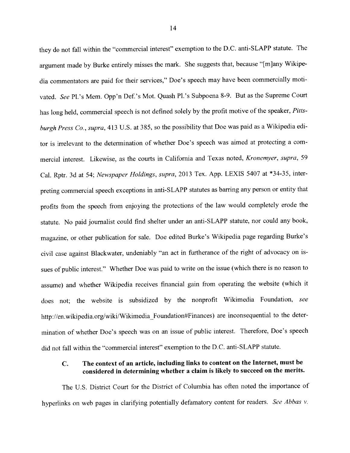they do not fall within the "commercial interest" exemption to the D.C. anti-SLAPP statute, The argumen<sup>t</sup> made by Burke entirely misses the mark. She suggests that, because "[mjany Wikipe dia commentators are paid for their services." Doe's speec<sup>h</sup> may have been commercially moti vated. See Pl.'s Mem. Opp'n Def.'s Mot. Quash Pl.'s Subpoena 8-9. But as the Supreme Court has long held, commercial speech is not defined solely by the profit motive of the speaker, Pittsburgh Press Co., supra, 413 U.S. at 385, so the possibility that Doe was paid as a Wikipedia editor is irrelevant to the determination of whether Doe's speech was aimed at protecting <sup>a</sup> com mercial interest. Likewise, as the courts in California and Texas noted, Kronemver, supra. <sup>59</sup> Cal. Rptr. 3d at 54; Newspaper Holdings, supra, 2013 Tex. App. LEXIS 5407 at \*34-35, interpreting commercial speec<sup>h</sup> exceptions in anti-SLAPP statutes as barring any person or entity that profits from the speec<sup>h</sup> from enjoying the protections of the law would completely erode the statute. No paid journalist could find shelter under an anti-SLAPP statute, nor could any book, magazine, or other publication for sale. Doe edited Burke's Wikipedia page regarding Burke's civil case against Blackwater, undeniably "an act in furtherance of the right of advocacy on is sues of public interest." Whether Doe was paid to write on the issue (which there is no reason to assume) and whether Wikipedia receives financial gain from operating the website (which it does not: the website is subsidized by the nonprofit Wikimedia Foundation, see http://en.wikipedia.org/wiki/Wikimedia Foundation#Finances) are inconsequential to the determination of whether Doe's speec<sup>h</sup> was on an issue of public interest. Therefore, Doe's speec<sup>h</sup> did not fail within the "commercial interest" exemption to the D.C. anti—SLAPP statute.

### C. The context of an article, including links to content on the Internet, must be considered in determining whether <sup>a</sup> claim is likely to succeed on the merits.

The U.S. District Court for the District of Columbia has often noted the importance of hyperlinks on web pages in clarifying potentially defamatory content for readers. See Abbas  $v$ .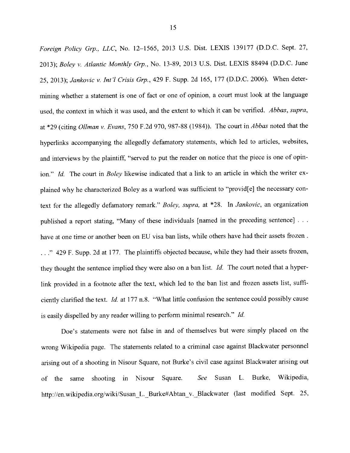Foreiçm Poflcv Grp.. LLC. No. 12—1565. <sup>2013</sup> US. Dist. LEXIS <sup>139177</sup> (D.D.C. Sept. 27. 2013); Boley v. Atlantic Monthly Grp., No. 13-89, 2013 U.S. Dist. LEXIS 88494 (D.D.C. June 25, 2013); Jankovic v. Int'l Crisis Grp., 429 F. Supp. 2d 165, 177 (D.D.C. 2006). When determining whether <sup>a</sup> statement is one of fact or one of opinion, <sup>a</sup> court must look at the language used, the context in which it was used, and the extent to which it can be verified. Abbas, supra, at \*29 (citing *Ollman v. Evans*, 750 F.2d 970, 987-88 (1984)). The court in *Abbas* noted that the hyperlinks accompanying the allegedly defamatory statements, which led to articles, websites, and interviews by the plaintiff, "served to put the reader on notice that the piece is one of opinion." Id. The court in Boley likewise indicated that a link to an article in which the writer ex<sup>p</sup>lained why he characterized Boley as <sup>a</sup> warlord was sufficient to "provid[e] the necessary con text for the allegedly defamatory remark." Boley, supra, at \*28. In Jankovic, an organization published a report stating, "Many of these individuals [named in the preceding sentence] . . . have at one time or another been on EU visa ban lists, while others have had their assets frozen. ..." 429 F. Supp. 2d at 177. The plaintiffs objected because, while they had their assets frozen, they thought the sentence implied they were also on a ban list. *Id.* The court noted that a hyperlink provided in <sup>a</sup> footnote after the text, which led to the ban list and frozen assets list, suffi ciently clarified the text. Id. at <sup>177</sup> n.8. "What little confusion the sentence could possibly cause is easily dispelled by any reader willing to perform minimal research." Id.

Doe's statements were not false in and of themselves but were simply placed on the wrong Wikipcdia page. The statements related to <sup>a</sup> criminal case against Blackwater personne<sup>l</sup> arising out of <sup>a</sup> shooting in Nisour Square, not Burke's civil case against Blackwater arising out of the same shooting in Nisour Square. See Susan L. Burke, Wikipedia, http://en.wikipedia.org/wiki/Susan\_L. Burke#Abtan\_v.\_Blackwater (last modified Sept. 25,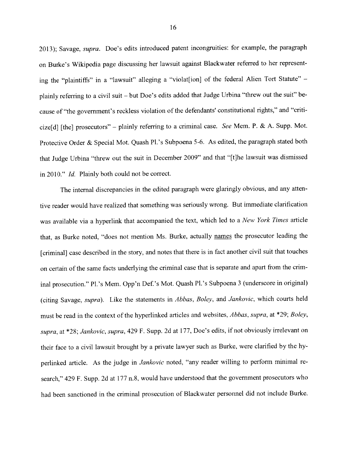2013): Savage, *supra*. Doe's edits introduced patent incongruities: for example, the paragraph on Burke's Wikipedia page discussing her lawsuit against Blackwater referred to her represen<sup>t</sup> ing the "plaintiffs" in a "lawsuit" alleging a "violat[ion] of the federal Alien Tort Statute" <sup>p</sup>lainly referring to <sup>a</sup> civil suit — but Doe's edits added that Judge Urbina "threw out the suit" be cause of "the government's reckless violation of the defendants' constitutional rights," and "criticize<sup>[d]</sup> [the] prosecutors" – plainly referring to a criminal case. See Mem. P. & A. Supp. Mot. Protective Order & Special Mot. Quash Pl.'s Subpoena 5-6. As edited, the paragraph stated both that Judge Urbina "threw out the suit in December 2009" and that "[t]he lawsuit was dismissed in 2010." Id. Plainly both could not be correct.

The internal discrepancies in the edited paragrap<sup>h</sup> were <sup>g</sup>laringly obvious, and any atten tive reader would have realized that something was seriously wrong. But immediate clarification was available via a hyperlink that accompanied the text, which led to a New York Times article that, as Burke noted, "does not mention Ms. Burke, actually names the prosecutor leading the [criminal] case described in the story, and notes that there is in fact another civil suit that touches on certain of the same facts underlying the criminal case that is separate and apar<sup>t</sup> from the crim inal prosecution." Pl.'s Mem. Opp'n Def.'s Mot. Quash Pl.'s Subpoena <sup>3</sup> (underscore in original) (citing Savage, supra). Like the statements in Abbas, Boley, and Jankovic, which courts held must he read in the context of the hvperlinked articles and websites, Abbas, supra, at \*29: Boley, supra, at \*28; Jankovic, supra, 429 F. Supp. 2d at 177, Doe's edits, if not obviously irrelevant on their face to a civil lawsuit brought by a private lawyer such as Burke, were clarified by the hyperlinked article. As the judge in *Jankovic* noted, "any reader willing to perform minimal research," 429 F. Supp. 2d at 177 n.8, would have understood that the government prosecutors who had been sanctioned in the criminal prosecution of Blackwater personne<sup>l</sup> did not include Burke.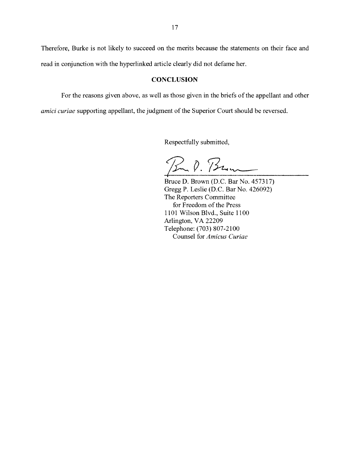Therefore, Burke is not likely to succeed on the merits because the statements on their face and read in conjunction with the hyperlinked article clearly did not defame her.

#### **CONCLUSION**

For the reasons given above, as well as those given in the briefs of the appellant and other

amici curiae supporting appellant, the judgment of the Superior Court should be reversed.

Respectfully submitted,

R. P. Bun

Bruce D. Brown (D.C. Bar No. 457317) Gregg P. Leslie (D.C. Bar No. 426092) The Reporters Committee for Freedom of the Press 1101 Wilson Blvd., Suite 1100 Arlington, VA 22209 Telephone: (703) 807-2100 Counsel for Amicus Curiae